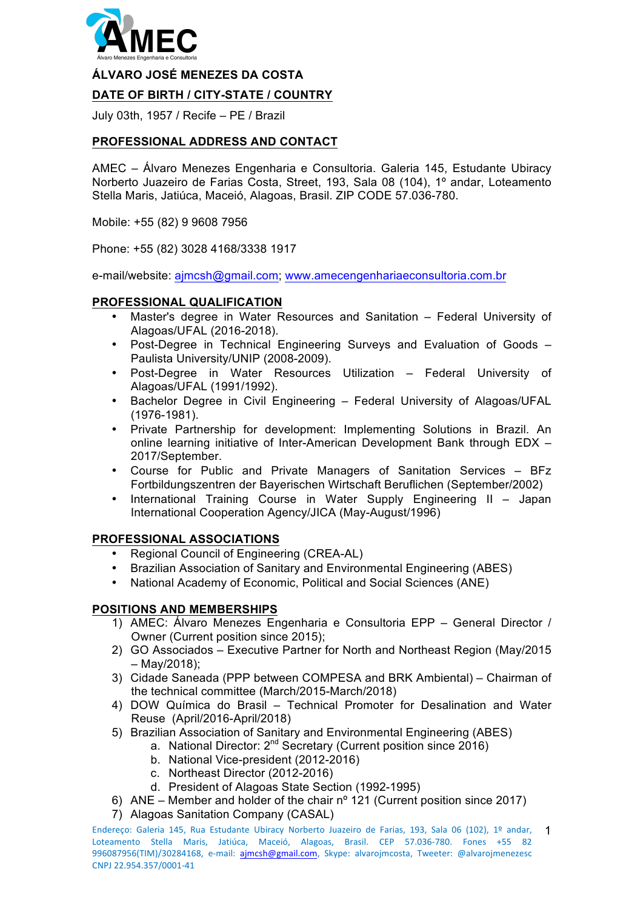

#### **ÁLVARO JOSÉ MENEZES DA COSTA**

## **DATE OF BIRTH / CITY-STATE / COUNTRY**

July 03th, 1957 / Recife – PE / Brazil

### **PROFESSIONAL ADDRESS AND CONTACT**

AMEC – Álvaro Menezes Engenharia e Consultoria. Galeria 145, Estudante Ubiracy Norberto Juazeiro de Farias Costa, Street, 193, Sala 08 (104), 1º andar, Loteamento Stella Maris, Jatiúca, Maceió, Alagoas, Brasil. ZIP CODE 57.036-780.

Mobile: +55 (82) 9 9608 7956

Phone: +55 (82) 3028 4168/3338 1917

e-mail/website: ajmcsh@gmail.com; www.amecengenhariaeconsultoria.com.br

#### **PROFESSIONAL QUALIFICATION**

- Master's degree in Water Resources and Sanitation Federal University of Alagoas/UFAL (2016-2018).
- Post-Degree in Technical Engineering Surveys and Evaluation of Goods Paulista University/UNIP (2008-2009).
- Post-Degree in Water Resources Utilization Federal University of Alagoas/UFAL (1991/1992).
- Bachelor Degree in Civil Engineering Federal University of Alagoas/UFAL (1976-1981).
- Private Partnership for development: Implementing Solutions in Brazil. An online learning initiative of Inter-American Development Bank through EDX – 2017/September.
- Course for Public and Private Managers of Sanitation Services BFz Fortbildungszentren der Bayerischen Wirtschaft Beruflichen (September/2002)
- International Training Course in Water Supply Engineering II Japan International Cooperation Agency/JICA (May-August/1996)

### **PROFESSIONAL ASSOCIATIONS**

- Regional Council of Engineering (CREA-AL)
- Brazilian Association of Sanitary and Environmental Engineering (ABES)
- National Academy of Economic, Political and Social Sciences (ANE)

### **POSITIONS AND MEMBERSHIPS**

- 1) AMEC: Álvaro Menezes Engenharia e Consultoria EPP General Director / Owner (Current position since 2015);
- 2) GO Associados Executive Partner for North and Northeast Region (May/2015 – May/2018);
- 3) Cidade Saneada (PPP between COMPESA and BRK Ambiental) Chairman of the technical committee (March/2015-March/2018)
- 4) DOW Química do Brasil Technical Promoter for Desalination and Water Reuse (April/2016-April/2018)
- 5) Brazilian Association of Sanitary and Environmental Engineering (ABES)
	- a. National Director: 2<sup>nd</sup> Secretary (Current position since 2016)
	- b. National Vice-president (2012-2016)
	- c. Northeast Director (2012-2016)
	- d. President of Alagoas State Section (1992-1995)
- 6) ANE Member and holder of the chair nº 121 (Current position since 2017)
- 7) Alagoas Sanitation Company (CASAL)

Endereço: Galeria 145, Rua Estudante Ubiracy Norberto Juazeiro de Farias, 193, Sala 06 (102), 1º andar, Loteamento Stella Maris, Jatiúca, Maceió, Alagoas, Brasil. CEP 57.036-780. Fones +55 82 996087956(TIM)/30284168, e-mail: ajmcsh@gmail.com, Skype: alvarojmcosta, Tweeter: @alvarojmenezesc CNPJ 22.954.357/0001-41 1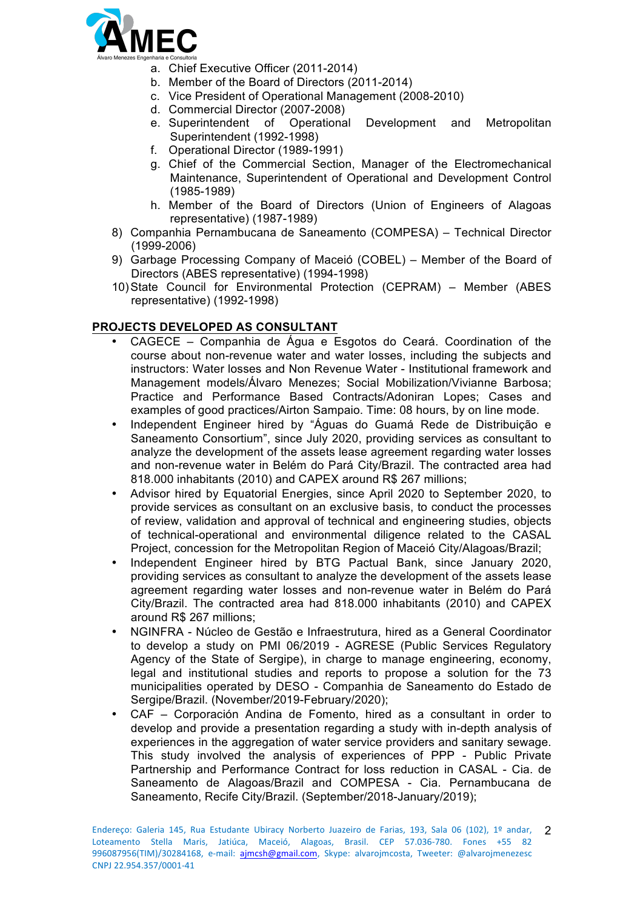

- a. Chief Executive Officer (2011-2014)
- b. Member of the Board of Directors (2011-2014)
- c. Vice President of Operational Management (2008-2010)
- d. Commercial Director (2007-2008)
- e. Superintendent of Operational Development and Metropolitan Superintendent (1992-1998)
- f. Operational Director (1989-1991)
- g. Chief of the Commercial Section, Manager of the Electromechanical Maintenance, Superintendent of Operational and Development Control (1985-1989)
- h. Member of the Board of Directors (Union of Engineers of Alagoas representative) (1987-1989)
- 8) Companhia Pernambucana de Saneamento (COMPESA) Technical Director (1999-2006)
- 9) Garbage Processing Company of Maceió (COBEL) Member of the Board of Directors (ABES representative) (1994-1998)
- 10)State Council for Environmental Protection (CEPRAM) Member (ABES representative) (1992-1998)

# **PROJECTS DEVELOPED AS CONSULTANT**

- CAGECE Companhia de Água e Esgotos do Ceará. Coordination of the course about non-revenue water and water losses, including the subjects and instructors: Water losses and Non Revenue Water - Institutional framework and Management models/Álvaro Menezes; Social Mobilization/Vivianne Barbosa; Practice and Performance Based Contracts/Adoniran Lopes; Cases and examples of good practices/Airton Sampaio. Time: 08 hours, by on line mode.
- Independent Engineer hired by "Águas do Guamá Rede de Distribuição e Saneamento Consortium", since July 2020, providing services as consultant to analyze the development of the assets lease agreement regarding water losses and non-revenue water in Belém do Pará City/Brazil. The contracted area had 818.000 inhabitants (2010) and CAPEX around R\$ 267 millions;
- Advisor hired by Equatorial Energies, since April 2020 to September 2020, to provide services as consultant on an exclusive basis, to conduct the processes of review, validation and approval of technical and engineering studies, objects of technical-operational and environmental diligence related to the CASAL Project, concession for the Metropolitan Region of Maceió City/Alagoas/Brazil;
- Independent Engineer hired by BTG Pactual Bank, since January 2020, providing services as consultant to analyze the development of the assets lease agreement regarding water losses and non-revenue water in Belém do Pará City/Brazil. The contracted area had 818.000 inhabitants (2010) and CAPEX around R\$ 267 millions;
- NGINFRA Núcleo de Gestão e Infraestrutura, hired as a General Coordinator to develop a study on PMI 06/2019 - AGRESE (Public Services Regulatory Agency of the State of Sergipe), in charge to manage engineering, economy, legal and institutional studies and reports to propose a solution for the 73 municipalities operated by DESO - Companhia de Saneamento do Estado de Sergipe/Brazil. (November/2019-February/2020);
- CAF Corporación Andina de Fomento, hired as a consultant in order to develop and provide a presentation regarding a study with in-depth analysis of experiences in the aggregation of water service providers and sanitary sewage. This study involved the analysis of experiences of PPP - Public Private Partnership and Performance Contract for loss reduction in CASAL - Cia. de Saneamento de Alagoas/Brazil and COMPESA - Cia. Pernambucana de Saneamento, Recife City/Brazil. (September/2018-January/2019);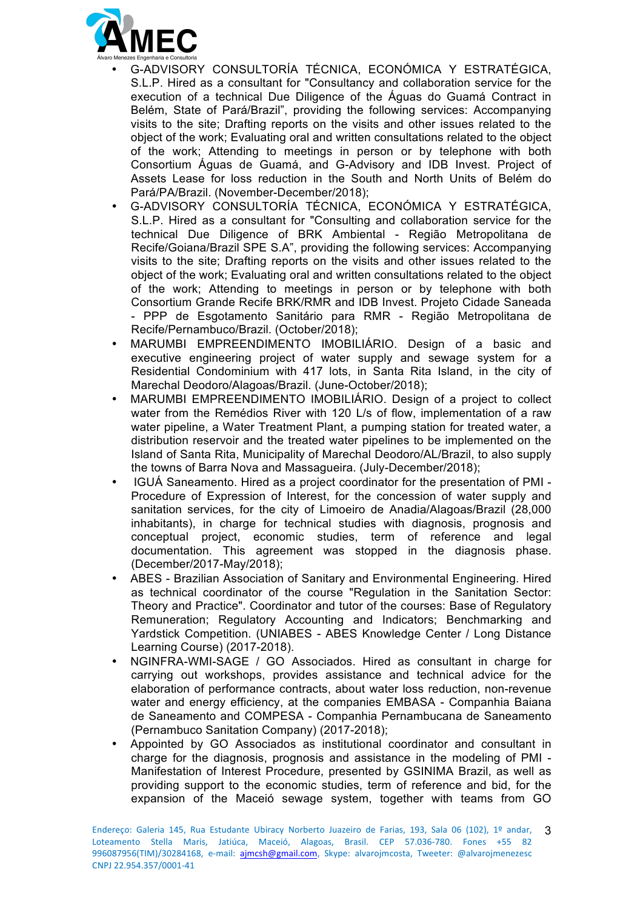

- G-ADVISORY CONSULTORÍA TÉCNICA, ECONÓMICA Y ESTRATÉGICA, S.L.P. Hired as a consultant for "Consultancy and collaboration service for the execution of a technical Due Diligence of the Águas do Guamá Contract in Belém, State of Pará/Brazil", providing the following services: Accompanying visits to the site; Drafting reports on the visits and other issues related to the object of the work; Evaluating oral and written consultations related to the object of the work; Attending to meetings in person or by telephone with both Consortium Águas de Guamá, and G-Advisory and IDB Invest. Project of Assets Lease for loss reduction in the South and North Units of Belém do Pará/PA/Brazil. (November-December/2018);
- G-ADVISORY CONSULTORÍA TÉCNICA, ECONÓMICA Y ESTRATÉGICA, S.L.P. Hired as a consultant for "Consulting and collaboration service for the technical Due Diligence of BRK Ambiental - Região Metropolitana de Recife/Goiana/Brazil SPE S.A", providing the following services: Accompanying visits to the site; Drafting reports on the visits and other issues related to the object of the work; Evaluating oral and written consultations related to the object of the work; Attending to meetings in person or by telephone with both Consortium Grande Recife BRK/RMR and IDB Invest. Projeto Cidade Saneada - PPP de Esgotamento Sanitário para RMR - Região Metropolitana de Recife/Pernambuco/Brazil. (October/2018);
- MARUMBI EMPREENDIMENTO IMOBILIÁRIO. Design of a basic and executive engineering project of water supply and sewage system for a Residential Condominium with 417 lots, in Santa Rita Island, in the city of Marechal Deodoro/Alagoas/Brazil. (June-October/2018);
- MARUMBI EMPREENDIMENTO IMOBILIÁRIO. Design of a project to collect water from the Remédios River with 120 L/s of flow, implementation of a raw water pipeline, a Water Treatment Plant, a pumping station for treated water, a distribution reservoir and the treated water pipelines to be implemented on the Island of Santa Rita, Municipality of Marechal Deodoro/AL/Brazil, to also supply the towns of Barra Nova and Massagueira. (July-December/2018);
- IGUÁ Saneamento. Hired as a project coordinator for the presentation of PMI Procedure of Expression of Interest, for the concession of water supply and sanitation services, for the city of Limoeiro de Anadia/Alagoas/Brazil (28,000 inhabitants), in charge for technical studies with diagnosis, prognosis and conceptual project, economic studies, term of reference and legal documentation. This agreement was stopped in the diagnosis phase. (December/2017-May/2018);
- ABES Brazilian Association of Sanitary and Environmental Engineering. Hired as technical coordinator of the course "Regulation in the Sanitation Sector: Theory and Practice". Coordinator and tutor of the courses: Base of Regulatory Remuneration; Regulatory Accounting and Indicators; Benchmarking and Yardstick Competition. (UNIABES - ABES Knowledge Center / Long Distance Learning Course) (2017-2018).
- NGINFRA-WMI-SAGE / GO Associados. Hired as consultant in charge for carrying out workshops, provides assistance and technical advice for the elaboration of performance contracts, about water loss reduction, non-revenue water and energy efficiency, at the companies EMBASA - Companhia Baiana de Saneamento and COMPESA - Companhia Pernambucana de Saneamento (Pernambuco Sanitation Company) (2017-2018);
- Appointed by GO Associados as institutional coordinator and consultant in charge for the diagnosis, prognosis and assistance in the modeling of PMI - Manifestation of Interest Procedure, presented by GSINIMA Brazil, as well as providing support to the economic studies, term of reference and bid, for the expansion of the Maceió sewage system, together with teams from GO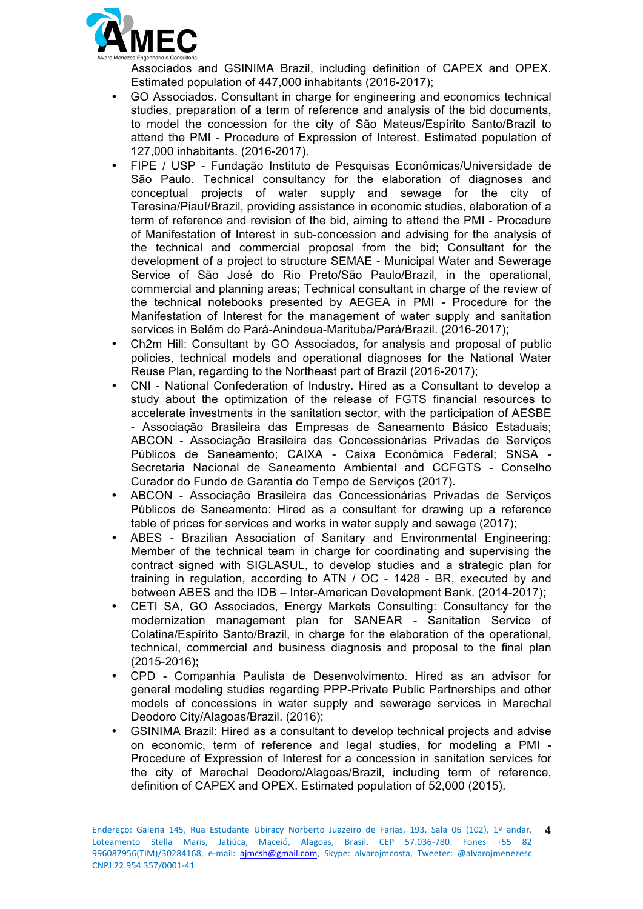

Associados and GSINIMA Brazil, including definition of CAPEX and OPEX. Estimated population of 447,000 inhabitants (2016-2017);

- GO Associados. Consultant in charge for engineering and economics technical studies, preparation of a term of reference and analysis of the bid documents, to model the concession for the city of São Mateus/Espírito Santo/Brazil to attend the PMI - Procedure of Expression of Interest. Estimated population of 127,000 inhabitants. (2016-2017).
- FIPE / USP Fundação Instituto de Pesquisas Econômicas/Universidade de São Paulo. Technical consultancy for the elaboration of diagnoses and conceptual projects of water supply and sewage for the city of Teresina/Piauí/Brazil, providing assistance in economic studies, elaboration of a term of reference and revision of the bid, aiming to attend the PMI - Procedure of Manifestation of Interest in sub-concession and advising for the analysis of the technical and commercial proposal from the bid; Consultant for the development of a project to structure SEMAE - Municipal Water and Sewerage Service of São José do Rio Preto/São Paulo/Brazil, in the operational, commercial and planning areas; Technical consultant in charge of the review of the technical notebooks presented by AEGEA in PMI - Procedure for the Manifestation of Interest for the management of water supply and sanitation services in Belém do Pará-Anindeua-Marituba/Pará/Brazil. (2016-2017);
- Ch2m Hill: Consultant by GO Associados, for analysis and proposal of public policies, technical models and operational diagnoses for the National Water Reuse Plan, regarding to the Northeast part of Brazil (2016-2017);
- CNI National Confederation of Industry. Hired as a Consultant to develop a study about the optimization of the release of FGTS financial resources to accelerate investments in the sanitation sector, with the participation of AESBE - Associação Brasileira das Empresas de Saneamento Básico Estaduais; ABCON - Associação Brasileira das Concessionárias Privadas de Serviços Públicos de Saneamento; CAIXA - Caixa Econômica Federal; SNSA - Secretaria Nacional de Saneamento Ambiental and CCFGTS - Conselho Curador do Fundo de Garantia do Tempo de Serviços (2017).
- ABCON Associação Brasileira das Concessionárias Privadas de Serviços Públicos de Saneamento: Hired as a consultant for drawing up a reference table of prices for services and works in water supply and sewage (2017);
- ABES Brazilian Association of Sanitary and Environmental Engineering: Member of the technical team in charge for coordinating and supervising the contract signed with SIGLASUL, to develop studies and a strategic plan for training in regulation, according to ATN / OC - 1428 - BR, executed by and between ABES and the IDB – Inter-American Development Bank. (2014-2017);
- CETI SA, GO Associados, Energy Markets Consulting: Consultancy for the modernization management plan for SANEAR - Sanitation Service of Colatina/Espírito Santo/Brazil, in charge for the elaboration of the operational, technical, commercial and business diagnosis and proposal to the final plan (2015-2016);
- CPD Companhia Paulista de Desenvolvimento. Hired as an advisor for general modeling studies regarding PPP-Private Public Partnerships and other models of concessions in water supply and sewerage services in Marechal Deodoro City/Alagoas/Brazil. (2016);
- GSINIMA Brazil: Hired as a consultant to develop technical projects and advise on economic, term of reference and legal studies, for modeling a PMI - Procedure of Expression of Interest for a concession in sanitation services for the city of Marechal Deodoro/Alagoas/Brazil, including term of reference, definition of CAPEX and OPEX. Estimated population of 52,000 (2015).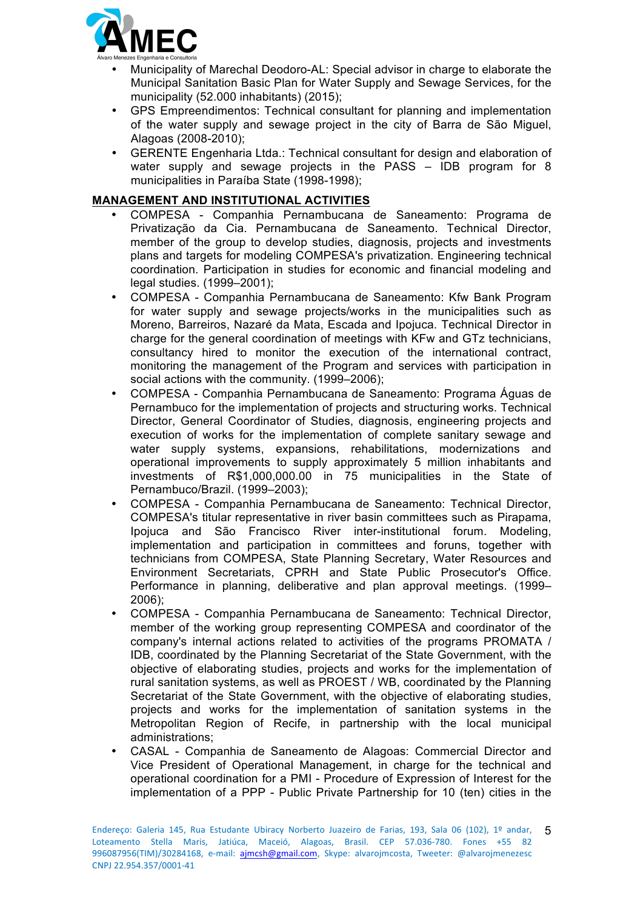

- Municipality of Marechal Deodoro-AL: Special advisor in charge to elaborate the Municipal Sanitation Basic Plan for Water Supply and Sewage Services, for the municipality (52.000 inhabitants) (2015);
- GPS Empreendimentos: Technical consultant for planning and implementation of the water supply and sewage project in the city of Barra de São Miguel, Alagoas (2008-2010);
- GERENTE Engenharia Ltda.: Technical consultant for design and elaboration of water supply and sewage projects in the PASS – IDB program for 8 municipalities in Paraíba State (1998-1998);

## **MANAGEMENT AND INSTITUTIONAL ACTIVITIES**

- COMPESA Companhia Pernambucana de Saneamento: Programa de Privatização da Cia. Pernambucana de Saneamento. Technical Director, member of the group to develop studies, diagnosis, projects and investments plans and targets for modeling COMPESA's privatization. Engineering technical coordination. Participation in studies for economic and financial modeling and legal studies. (1999–2001);
- COMPESA Companhia Pernambucana de Saneamento: Kfw Bank Program for water supply and sewage projects/works in the municipalities such as Moreno, Barreiros, Nazaré da Mata, Escada and Ipojuca. Technical Director in charge for the general coordination of meetings with KFw and GTz technicians, consultancy hired to monitor the execution of the international contract, monitoring the management of the Program and services with participation in social actions with the community. (1999–2006);
- COMPESA Companhia Pernambucana de Saneamento: Programa Águas de Pernambuco for the implementation of projects and structuring works. Technical Director, General Coordinator of Studies, diagnosis, engineering projects and execution of works for the implementation of complete sanitary sewage and water supply systems, expansions, rehabilitations, modernizations and operational improvements to supply approximately 5 million inhabitants and investments of R\$1,000,000.00 in 75 municipalities in the State of Pernambuco/Brazil. (1999–2003);
- COMPESA Companhia Pernambucana de Saneamento: Technical Director, COMPESA's titular representative in river basin committees such as Pirapama, Ipojuca and São Francisco River inter-institutional forum. Modeling, implementation and participation in committees and foruns, together with technicians from COMPESA, State Planning Secretary, Water Resources and Environment Secretariats, CPRH and State Public Prosecutor's Office. Performance in planning, deliberative and plan approval meetings. (1999– 2006);
- COMPESA Companhia Pernambucana de Saneamento: Technical Director, member of the working group representing COMPESA and coordinator of the company's internal actions related to activities of the programs PROMATA / IDB, coordinated by the Planning Secretariat of the State Government, with the objective of elaborating studies, projects and works for the implementation of rural sanitation systems, as well as PROEST / WB, coordinated by the Planning Secretariat of the State Government, with the objective of elaborating studies, projects and works for the implementation of sanitation systems in the Metropolitan Region of Recife, in partnership with the local municipal administrations;
- CASAL Companhia de Saneamento de Alagoas: Commercial Director and Vice President of Operational Management, in charge for the technical and operational coordination for a PMI - Procedure of Expression of Interest for the implementation of a PPP - Public Private Partnership for 10 (ten) cities in the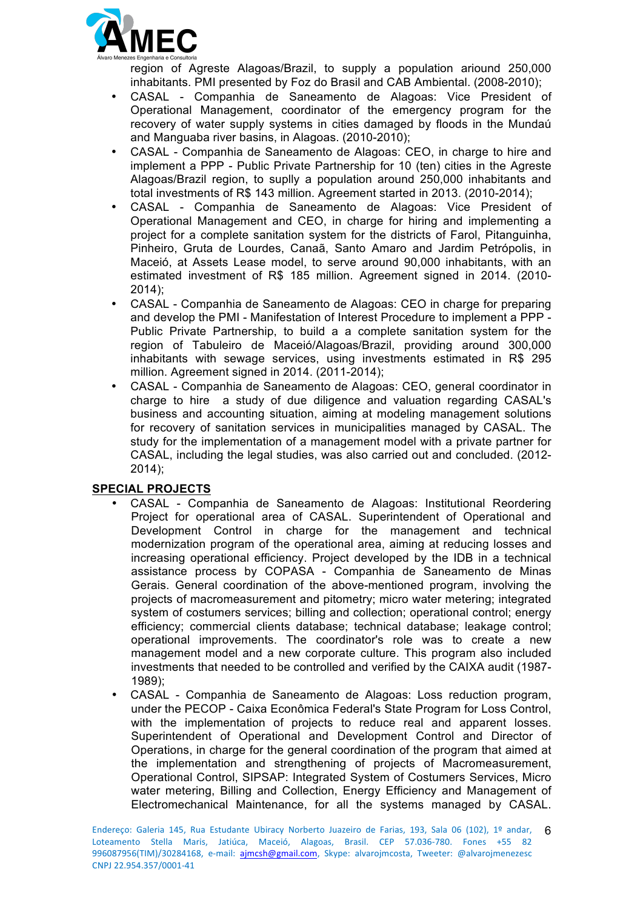

region of Agreste Alagoas/Brazil, to supply a population ariound 250,000 inhabitants. PMI presented by Foz do Brasil and CAB Ambiental. (2008-2010);

- CASAL Companhia de Saneamento de Alagoas: Vice President of Operational Management, coordinator of the emergency program for the recovery of water supply systems in cities damaged by floods in the Mundaú and Manguaba river basins, in Alagoas. (2010-2010);
- CASAL Companhia de Saneamento de Alagoas: CEO, in charge to hire and implement a PPP - Public Private Partnership for 10 (ten) cities in the Agreste Alagoas/Brazil region, to suplly a population around 250,000 inhabitants and total investments of R\$ 143 million. Agreement started in 2013. (2010-2014);
- CASAL Companhia de Saneamento de Alagoas: Vice President of Operational Management and CEO, in charge for hiring and implementing a project for a complete sanitation system for the districts of Farol, Pitanguinha, Pinheiro, Gruta de Lourdes, Canaã, Santo Amaro and Jardim Petrópolis, in Maceió, at Assets Lease model, to serve around 90,000 inhabitants, with an estimated investment of R\$ 185 million. Agreement signed in 2014. (2010- 2014);
- CASAL Companhia de Saneamento de Alagoas: CEO in charge for preparing and develop the PMI - Manifestation of Interest Procedure to implement a PPP - Public Private Partnership, to build a a complete sanitation system for the region of Tabuleiro de Maceió/Alagoas/Brazil, providing around 300,000 inhabitants with sewage services, using investments estimated in R\$ 295 million. Agreement signed in 2014. (2011-2014);
- CASAL Companhia de Saneamento de Alagoas: CEO, general coordinator in charge to hire a study of due diligence and valuation regarding CASAL's business and accounting situation, aiming at modeling management solutions for recovery of sanitation services in municipalities managed by CASAL. The study for the implementation of a management model with a private partner for CASAL, including the legal studies, was also carried out and concluded. (2012- 2014);

# **SPECIAL PROJECTS**

- CASAL Companhia de Saneamento de Alagoas: Institutional Reordering Project for operational area of CASAL. Superintendent of Operational and Development Control in charge for the management and technical modernization program of the operational area, aiming at reducing losses and increasing operational efficiency. Project developed by the IDB in a technical assistance process by COPASA - Companhia de Saneamento de Minas Gerais. General coordination of the above-mentioned program, involving the projects of macromeasurement and pitometry; micro water metering; integrated system of costumers services; billing and collection; operational control; energy efficiency; commercial clients database; technical database; leakage control; operational improvements. The coordinator's role was to create a new management model and a new corporate culture. This program also included investments that needed to be controlled and verified by the CAIXA audit (1987- 1989);
- CASAL Companhia de Saneamento de Alagoas: Loss reduction program, under the PECOP - Caixa Econômica Federal's State Program for Loss Control, with the implementation of projects to reduce real and apparent losses. Superintendent of Operational and Development Control and Director of Operations, in charge for the general coordination of the program that aimed at the implementation and strengthening of projects of Macromeasurement, Operational Control, SIPSAP: Integrated System of Costumers Services, Micro water metering, Billing and Collection, Energy Efficiency and Management of Electromechanical Maintenance, for all the systems managed by CASAL.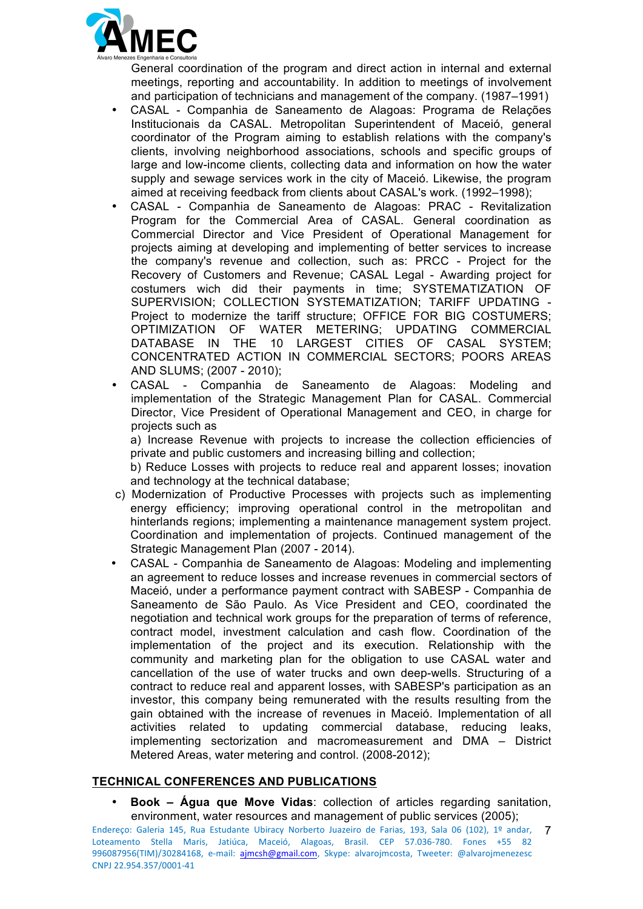

General coordination of the program and direct action in internal and external meetings, reporting and accountability. In addition to meetings of involvement and participation of technicians and management of the company. (1987–1991)

- CASAL Companhia de Saneamento de Alagoas: Programa de Relações Institucionais da CASAL. Metropolitan Superintendent of Maceió, general coordinator of the Program aiming to establish relations with the company's clients, involving neighborhood associations, schools and specific groups of large and low-income clients, collecting data and information on how the water supply and sewage services work in the city of Maceió. Likewise, the program aimed at receiving feedback from clients about CASAL's work. (1992–1998);
- CASAL Companhia de Saneamento de Alagoas: PRAC Revitalization Program for the Commercial Area of CASAL. General coordination as Commercial Director and Vice President of Operational Management for projects aiming at developing and implementing of better services to increase the company's revenue and collection, such as: PRCC - Project for the Recovery of Customers and Revenue; CASAL Legal - Awarding project for costumers wich did their payments in time; SYSTEMATIZATION OF SUPERVISION; COLLECTION SYSTEMATIZATION; TARIFF UPDATING - Project to modernize the tariff structure; OFFICE FOR BIG COSTUMERS; OPTIMIZATION OF WATER METERING; UPDATING COMMERCIAL DATABASE IN THE 10 LARGEST CITIES OF CASAL SYSTEM; CONCENTRATED ACTION IN COMMERCIAL SECTORS; POORS AREAS AND SLUMS; (2007 - 2010);
- CASAL Companhia de Saneamento de Alagoas: Modeling and implementation of the Strategic Management Plan for CASAL. Commercial Director, Vice President of Operational Management and CEO, in charge for projects such as

a) Increase Revenue with projects to increase the collection efficiencies of private and public customers and increasing billing and collection;

b) Reduce Losses with projects to reduce real and apparent losses; inovation and technology at the technical database;

- c) Modernization of Productive Processes with projects such as implementing energy efficiency; improving operational control in the metropolitan and hinterlands regions; implementing a maintenance management system project. Coordination and implementation of projects. Continued management of the Strategic Management Plan (2007 - 2014).
- CASAL Companhia de Saneamento de Alagoas: Modeling and implementing an agreement to reduce losses and increase revenues in commercial sectors of Maceió, under a performance payment contract with SABESP - Companhia de Saneamento de São Paulo. As Vice President and CEO, coordinated the negotiation and technical work groups for the preparation of terms of reference, contract model, investment calculation and cash flow. Coordination of the implementation of the project and its execution. Relationship with the community and marketing plan for the obligation to use CASAL water and cancellation of the use of water trucks and own deep-wells. Structuring of a contract to reduce real and apparent losses, with SABESP's participation as an investor, this company being remunerated with the results resulting from the gain obtained with the increase of revenues in Maceió. Implementation of all activities related to updating commercial database, reducing leaks, implementing sectorization and macromeasurement and DMA – District Metered Areas, water metering and control. (2008-2012);

### **TECHNICAL CONFERENCES AND PUBLICATIONS**

• **Book – Água que Move Vidas**: collection of articles regarding sanitation, environment, water resources and management of public services (2005);

Endereço: Galeria 145, Rua Estudante Ubiracy Norberto Juazeiro de Farias, 193, Sala 06 (102), 1º andar, **7** Loteamento Stella Maris, Jatiúca, Maceió, Alagoas, Brasil. CEP 57.036-780. Fones +55 82 996087956(TIM)/30284168, e-mail: ajmcsh@gmail.com, Skype: alvarojmcosta, Tweeter: @alvarojmenezesc CNPJ 22.954.357/0001-41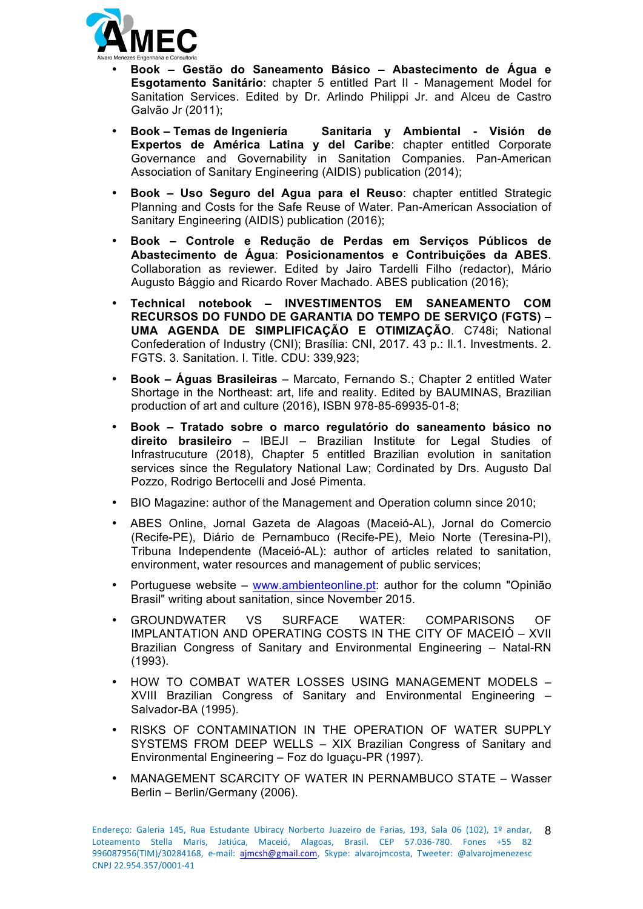

- **Book – Gestão do Saneamento Básico – Abastecimento de Água e Esgotamento Sanitário**: chapter 5 entitled Part II - Management Model for Sanitation Services. Edited by Dr. Arlindo Philippi Jr. and Alceu de Castro Galvão Jr (2011);
- **Book – Temas de Ingeniería Sanitaria y Ambiental - Visión de Expertos de América Latina y del Caribe**: chapter entitled Corporate Governance and Governability in Sanitation Companies. Pan-American Association of Sanitary Engineering (AIDIS) publication (2014);
- **Book – Uso Seguro del Agua para el Reuso**: chapter entitled Strategic Planning and Costs for the Safe Reuse of Water. Pan-American Association of Sanitary Engineering (AIDIS) publication (2016);
- **Book – Controle e Redução de Perdas em Serviços Públicos de Abastecimento de Água**: **Posicionamentos e Contribuições da ABES**. Collaboration as reviewer. Edited by Jairo Tardelli Filho (redactor), Mário Augusto Bággio and Ricardo Rover Machado. ABES publication (2016);
- **Technical notebook – INVESTIMENTOS EM SANEAMENTO COM RECURSOS DO FUNDO DE GARANTIA DO TEMPO DE SERVIÇO (FGTS) – UMA AGENDA DE SIMPLIFICAÇÃO E OTIMIZAÇÃO**. C748i; National Confederation of Industry (CNI); Brasília: CNI, 2017. 43 p.: Il.1. Investments. 2. FGTS. 3. Sanitation. I. Title. CDU: 339,923;
- **Book – Águas Brasileiras** Marcato, Fernando S.; Chapter 2 entitled Water Shortage in the Northeast: art, life and reality. Edited by BAUMINAS, Brazilian production of art and culture (2016), ISBN 978-85-69935-01-8;
- **Book – Tratado sobre o marco regulatório do saneamento básico no direito brasileiro** – IBEJI – Brazilian Institute for Legal Studies of Infrastrucuture (2018), Chapter 5 entitled Brazilian evolution in sanitation services since the Regulatory National Law; Cordinated by Drs. Augusto Dal Pozzo, Rodrigo Bertocelli and José Pimenta.
- BIO Magazine: author of the Management and Operation column since 2010;
- ABES Online, Jornal Gazeta de Alagoas (Maceió-AL), Jornal do Comercio (Recife-PE), Diário de Pernambuco (Recife-PE), Meio Norte (Teresina-PI), Tribuna Independente (Maceió-AL): author of articles related to sanitation, environment, water resources and management of public services;
- Portuguese website www.ambienteonline.pt: author for the column "Opinião Brasil" writing about sanitation, since November 2015.
- GROUNDWATER VS SURFACE WATER: COMPARISONS OF IMPLANTATION AND OPERATING COSTS IN THE CITY OF MACEIÓ – XVII Brazilian Congress of Sanitary and Environmental Engineering – Natal-RN (1993).
- HOW TO COMBAT WATER LOSSES USING MANAGEMENT MODELS XVIII Brazilian Congress of Sanitary and Environmental Engineering – Salvador-BA (1995).
- RISKS OF CONTAMINATION IN THE OPERATION OF WATER SUPPLY SYSTEMS FROM DEEP WELLS – XIX Brazilian Congress of Sanitary and Environmental Engineering – Foz do Iguaçu-PR (1997).
- MANAGEMENT SCARCITY OF WATER IN PERNAMBUCO STATE Wasser Berlin – Berlin/Germany (2006).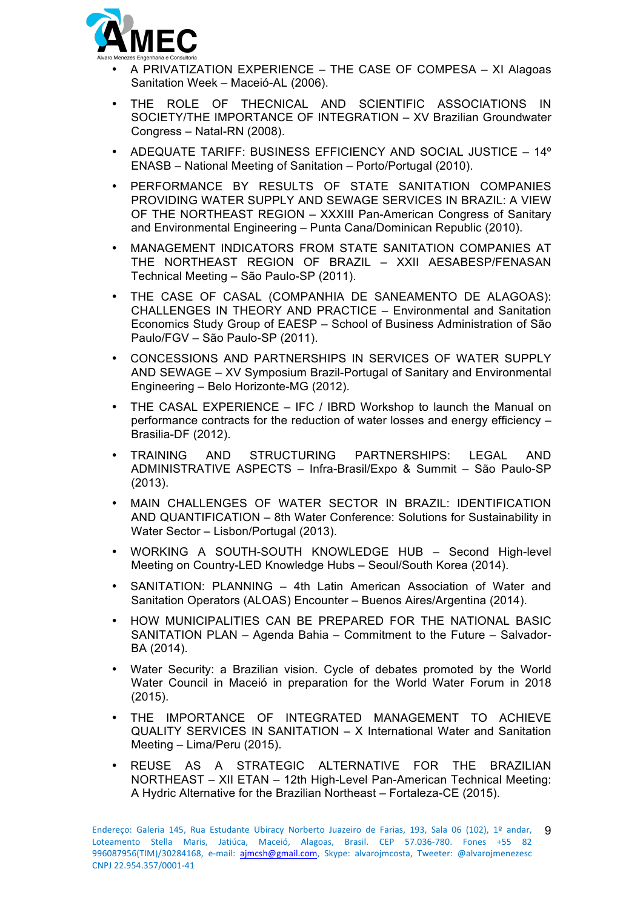

- A PRIVATIZATION EXPERIENCE THE CASE OF COMPESA XI Alagoas Sanitation Week – Maceió-AL (2006).
- THE ROLE OF THECNICAL AND SCIENTIFIC ASSOCIATIONS IN SOCIETY/THE IMPORTANCE OF INTEGRATION – XV Brazilian Groundwater Congress – Natal-RN (2008).
- ADEQUATE TARIFF: BUSINESS EFFICIENCY AND SOCIAL JUSTICE 14º ENASB – National Meeting of Sanitation – Porto/Portugal (2010).
- PERFORMANCE BY RESULTS OF STATE SANITATION COMPANIES PROVIDING WATER SUPPLY AND SEWAGE SERVICES IN BRAZIL: A VIEW OF THE NORTHEAST REGION – XXXIII Pan-American Congress of Sanitary and Environmental Engineering – Punta Cana/Dominican Republic (2010).
- MANAGEMENT INDICATORS FROM STATE SANITATION COMPANIES AT THE NORTHEAST REGION OF BRAZIL – XXII AESABESP/FENASAN Technical Meeting – São Paulo-SP (2011).
- THE CASE OF CASAL (COMPANHIA DE SANEAMENTO DE ALAGOAS): CHALLENGES IN THEORY AND PRACTICE – Environmental and Sanitation Economics Study Group of EAESP – School of Business Administration of São Paulo/FGV – São Paulo-SP (2011).
- CONCESSIONS AND PARTNERSHIPS IN SERVICES OF WATER SUPPLY AND SEWAGE – XV Symposium Brazil-Portugal of Sanitary and Environmental Engineering – Belo Horizonte-MG (2012).
- THE CASAL EXPERIENCE IFC / IBRD Workshop to launch the Manual on performance contracts for the reduction of water losses and energy efficiency – Brasilia-DF (2012).
- TRAINING AND STRUCTURING PARTNERSHIPS: LEGAL AND ADMINISTRATIVE ASPECTS – Infra-Brasil/Expo & Summit – São Paulo-SP (2013).
- MAIN CHALLENGES OF WATER SECTOR IN BRAZIL: IDENTIFICATION AND QUANTIFICATION – 8th Water Conference: Solutions for Sustainability in Water Sector – Lisbon/Portugal (2013).
- WORKING A SOUTH-SOUTH KNOWLEDGE HUB Second High-level Meeting on Country-LED Knowledge Hubs – Seoul/South Korea (2014).
- SANITATION: PLANNING 4th Latin American Association of Water and Sanitation Operators (ALOAS) Encounter – Buenos Aires/Argentina (2014).
- HOW MUNICIPALITIES CAN BE PREPARED FOR THE NATIONAL BASIC SANITATION PLAN – Agenda Bahia – Commitment to the Future – Salvador-BA (2014).
- Water Security: a Brazilian vision. Cycle of debates promoted by the World Water Council in Maceió in preparation for the World Water Forum in 2018 (2015).
- THE IMPORTANCE OF INTEGRATED MANAGEMENT TO ACHIEVE QUALITY SERVICES IN SANITATION – X International Water and Sanitation Meeting – Lima/Peru (2015).
- REUSE AS A STRATEGIC ALTERNATIVE FOR THE BRAZILIAN NORTHEAST – XII ETAN – 12th High-Level Pan-American Technical Meeting: A Hydric Alternative for the Brazilian Northeast – Fortaleza-CE (2015).